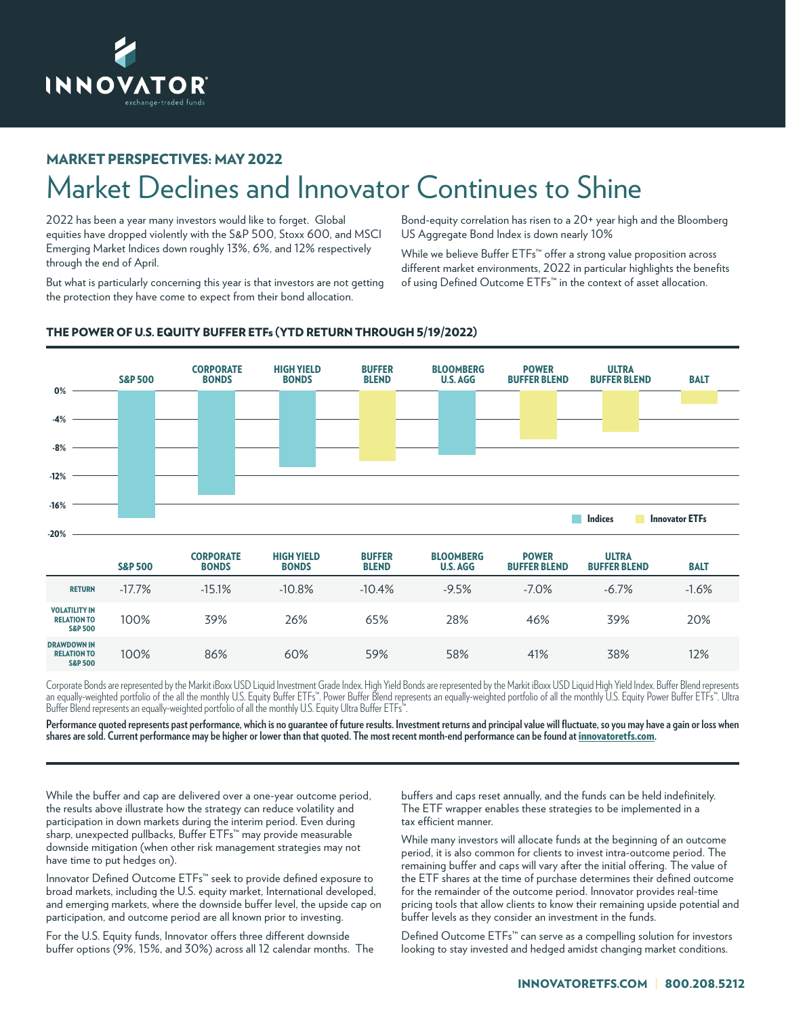

## MARKET PERSPECTIVES: MAY 2022

## Market Declines and Innovator Continues to Shine

2022 has been a year many investors would like to forget. Global equities have dropped violently with the S&P 500, Stoxx 600, and MSCI Emerging Market Indices down roughly 13%, 6%, and 12% respectively through the end of April.

But what is particularly concerning this year is that investors are not getting the protection they have come to expect from their bond allocation.

Bond-equity correlation has risen to a 20+ year high and the Bloomberg US Aggregate Bond Index is down nearly 10%

While we believe Buffer ETFs<sup>™</sup> offer a strong value proposition across different market environments, 2022 in particular highlights the benefits of using Defined Outcome ETFs™ in the context of asset allocation.



## THE POWER OF U.S. EQUITY BUFFER ETFs (YTD RETURN THROUGH 5/19/2022)

|                                                                  | <b>S&amp;P 500</b> | <b>CORPORATE</b><br><b>BONDS</b> | <b>HIGH YIELD</b><br><b>BONDS</b> | <b>BUFFER</b><br><b>BLEND</b> | <b>BLOOMBERG</b><br><b>U.S. AGG</b> | <b>POWER</b><br><b>BUFFER BLEND</b> | <b>ULTRA</b><br><b>BUFFER BLEND</b> | <b>BALT</b> |
|------------------------------------------------------------------|--------------------|----------------------------------|-----------------------------------|-------------------------------|-------------------------------------|-------------------------------------|-------------------------------------|-------------|
| <b>RETURN</b>                                                    | $-17.7%$           | $-15.1%$                         | $-10.8%$                          | $-10.4%$                      | $-9.5%$                             | $-7.0\%$                            | $-6.7%$                             | $-1.6%$     |
| <b>VOLATILITY IN</b><br><b>RELATION TO</b><br><b>S&amp;P 500</b> | 100%               | 39%                              | 26%                               | 65%                           | 28%                                 | 46%                                 | 39%                                 | 20%         |
| <b>DRAWDOWN IN</b><br><b>RELATION TO</b><br><b>S&amp;P 500</b>   | 100%               | 86%                              | 60%                               | 59%                           | 58%                                 | 41%                                 | 38%                                 | 12%         |

Corporate Bonds are represented by the Markit iBoxx USD Liquid Investment Grade Index. High Yield Bonds are represented by the Markit iBoxx USD Liquid High Yield Index. Buffer Blend represents an equally-weighted portfolio of the all the monthly U.S. Equity Buffer ETFs™. Power Buffer Blend represents an equally-weighted portfolio of all the monthly U.S. Equity Power Buffer ETFs™. Ultra Buffer Blend represents an equally-weighted portfolio of all the monthly U.S. Equity Ultra Buffer ETFs™.

**Performance quoted represents past performance, which is no guarantee of future results. Investment returns and principal value will fluctuate, so you may have a gain or loss when shares are sold. Current performance may be higher or lower than that quoted. The most recent month-end performance can be found at** innovatoretfs.com**.**

While the buffer and cap are delivered over a one-year outcome period, the results above illustrate how the strategy can reduce volatility and participation in down markets during the interim period. Even during sharp, unexpected pullbacks, Buffer ETFs™ may provide measurable downside mitigation (when other risk management strategies may not have time to put hedges on).

Innovator Defined Outcome ETFs™ seek to provide defined exposure to broad markets, including the U.S. equity market, International developed, and emerging markets, where the downside buffer level, the upside cap on participation, and outcome period are all known prior to investing.

For the U.S. Equity funds, Innovator offers three different downside buffer options (9%, 15%, and 30%) across all 12 calendar months. The buffers and caps reset annually, and the funds can be held indefinitely. The ETF wrapper enables these strategies to be implemented in a tax efficient manner.

While many investors will allocate funds at the beginning of an outcome period, it is also common for clients to invest intra-outcome period. The remaining buffer and caps will vary after the initial offering. The value of the ETF shares at the time of purchase determines their defined outcome for the remainder of the outcome period. Innovator provides real-time pricing tools that allow clients to know their remaining upside potential and buffer levels as they consider an investment in the funds.

Defined Outcome ETFs™ can serve as a compelling solution for investors looking to stay invested and hedged amidst changing market conditions.